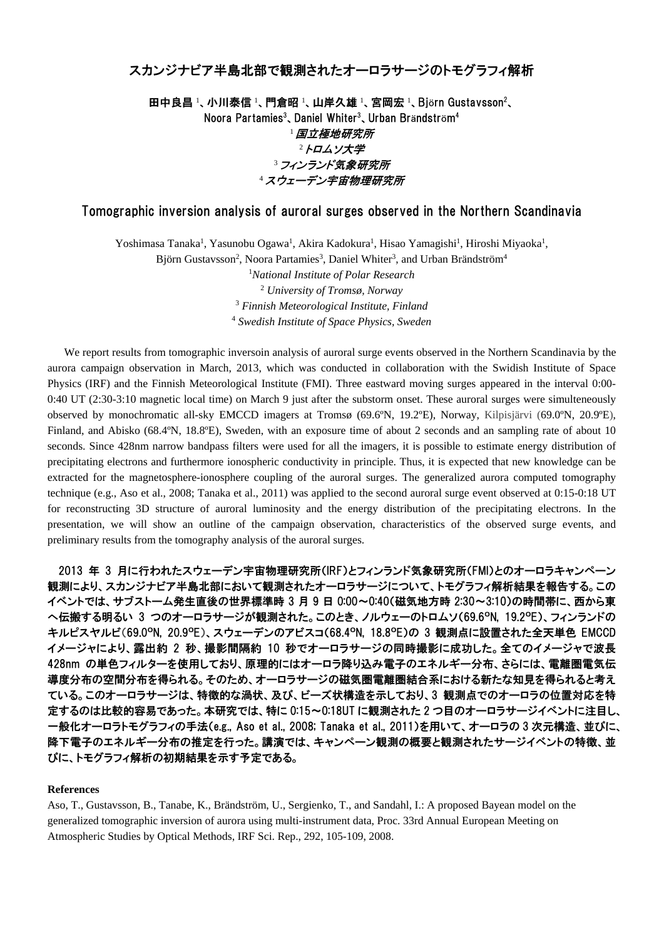## スカンジナビア半島北部で観測されたオーロラサージのトモグラフィ解析

田中良昌 !、小川泰信 !、門倉昭 !、山岸久雄 !、宮岡宏 !、Björn Gustavsson<sup>2</sup>、 Noora Partamies<sup>3</sup>、Daniel Whiter<sup>3</sup>、Urban Brändström<sup>4</sup> <sup>1</sup>国立極地研究所 2トロムソ大学 3 フィンランド気象研究所 <sup>4</sup>スウェーデン宇宙物理研究所

## Tomographic inversion analysis of auroral surges observed in the Northern Scandinavia

Yoshimasa Tanaka<sup>1</sup>, Yasunobu Ogawa<sup>1</sup>, Akira Kadokura<sup>1</sup>, Hisao Yamagishi<sup>1</sup>, Hiroshi Miyaoka<sup>1</sup>,

Björn Gustavsson<sup>2</sup>, Noora Partamies<sup>3</sup>, Daniel Whiter<sup>3</sup>, and Urban Brändström<sup>4</sup>

 *National Institute of Polar Research University of Tromsø, Norway Finnish Meteorological Institute, Finland Swedish Institute of Space Physics, Sweden* 

We report results from tomographic inversoin analysis of auroral surge events observed in the Northern Scandinavia by the aurora campaign observation in March, 2013, which was conducted in collaboration with the Swidish Institute of Space Physics (IRF) and the Finnish Meteorological Institute (FMI). Three eastward moving surges appeared in the interval 0:00- 0:40 UT (2:30-3:10 magnetic local time) on March 9 just after the substorm onset. These auroral surges were simulteneously observed by monochromatic all-sky EMCCD imagers at Tromsø (69.6ºN, 19.2ºE), Norway, Kilpisjärvi (69.0ºN, 20.9ºE), Finland, and Abisko (68.4°N, 18.8°E), Sweden, with an exposure time of about 2 seconds and an sampling rate of about 10 seconds. Since 428nm narrow bandpass filters were used for all the imagers, it is possible to estimate energy distribution of precipitating electrons and furthermore ionospheric conductivity in principle. Thus, it is expected that new knowledge can be extracted for the magnetosphere-ionosphere coupling of the auroral surges. The generalized aurora computed tomography technique (e.g., Aso et al., 2008; Tanaka et al., 2011) was applied to the second auroral surge event observed at 0:15-0:18 UT for reconstructing 3D structure of auroral luminosity and the energy distribution of the precipitating electrons. In the presentation, we will show an outline of the campaign observation, characteristics of the observed surge events, and preliminary results from the tomography analysis of the auroral surges.

2013 年 3 月に行われたスウェーデン宇宙物理研究所(IRF)とフィンランド気象研究所(FMI)とのオーロラキャンペーン 観測により、スカンジナビア半島北部において観測されたオーロラサージについて、トモグラフィ解析結果を報告する。この イベントでは、サブストーム発生直後の世界標準時 3 月 9 日 0:00~0:40(磁気地方時 2:30~3:10)の時間帯に、西から東 へ伝搬する明るい 3 つのオーロラサージが観測された。このとき、ノルウェーのトロムソ(69.6ºN, 19.2ºE)、フィンランドの キルピスヤルビ(69.0ºN, 20.9ºE)、スウェーデンのアビスコ(68.4ºN, 18.8ºE)の 3 観測点に設置された全天単色 EMCCD イメージャにより、露出約 2 秒、撮影間隔約 10 秒でオーロラサージの同時撮影に成功した。全てのイメージャで波長 428nm の単色フィルターを使用しており、原理的にはオーロラ降り込み電子のエネルギー分布、さらには、電離圏電気伝 導度分布の空間分布を得られる。そのため、オーロラサージの磁気圏電離圏結合系における新たな知見を得られると考え ている。このオーロラサージは、特徴的な渦状、及び、ビーズ状構造を示しており、3 観測点でのオーロラの位置対応を特 定するのは比較的容易であった。本研究では、特に 0:15~0:18UT に観測された 2 つ目のオーロラサージイベントに注目し、 一般化オーロラトモグラフィの手法(e.g., Aso et al., 2008; Tanaka et al., 2011)を用いて、オーロラの 3 次元構造、並びに、 降下電子のエネルギー分布の推定を行った。講演では、キャンペーン観測の概要と観測されたサージイベントの特徴、並 びに、トモグラフィ解析の初期結果を示す予定である。

## **References**

Aso, T., Gustavsson, B., Tanabe, K., Brändström, U., Sergienko, T., and Sandahl, I.: A proposed Bayean model on the generalized tomographic inversion of aurora using multi-instrument data, Proc. 33rd Annual European Meeting on Atmospheric Studies by Optical Methods, IRF Sci. Rep., 292, 105-109, 2008.